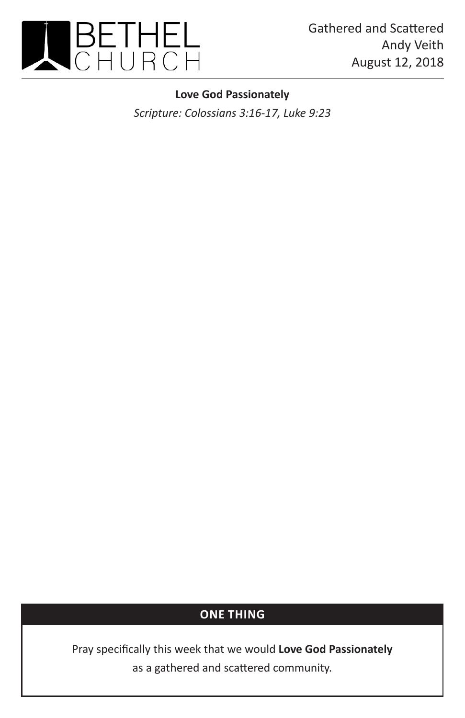

## **Love God Passionately**

*Scripture: Colossians 3:16-17, Luke 9:23*

## **ONE THING**

Pray specifically this week that we would **Love God Passionately** as a gathered and scattered community.